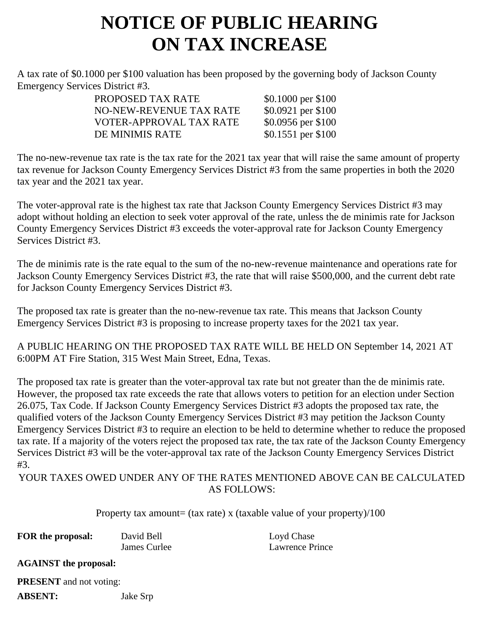## **NOTICE OF PUBLIC HEARING ON TAX INCREASE**

A tax rate of \$0.1000 per \$100 valuation has been proposed by the governing body of Jackson County Emergency Services District #3.

| \$0.1000 per \$100 |
|--------------------|
| \$0.0921 per \$100 |
| \$0.0956 per \$100 |
| \$0.1551 per \$100 |
|                    |

The no-new-revenue tax rate is the tax rate for the 2021 tax year that will raise the same amount of property tax revenue for Jackson County Emergency Services District #3 from the same properties in both the 2020 tax year and the 2021 tax year.

The voter-approval rate is the highest tax rate that Jackson County Emergency Services District #3 may adopt without holding an election to seek voter approval of the rate, unless the de minimis rate for Jackson County Emergency Services District #3 exceeds the voter-approval rate for Jackson County Emergency Services District #3.

The de minimis rate is the rate equal to the sum of the no-new-revenue maintenance and operations rate for Jackson County Emergency Services District #3, the rate that will raise \$500,000, and the current debt rate for Jackson County Emergency Services District #3.

The proposed tax rate is greater than the no-new-revenue tax rate. This means that Jackson County Emergency Services District #3 is proposing to increase property taxes for the 2021 tax year.

A PUBLIC HEARING ON THE PROPOSED TAX RATE WILL BE HELD ON September 14, 2021 AT 6:00PM AT Fire Station, 315 West Main Street, Edna, Texas.

The proposed tax rate is greater than the voter-approval tax rate but not greater than the de minimis rate. However, the proposed tax rate exceeds the rate that allows voters to petition for an election under Section 26.075, Tax Code. If Jackson County Emergency Services District #3 adopts the proposed tax rate, the qualified voters of the Jackson County Emergency Services District #3 may petition the Jackson County Emergency Services District #3 to require an election to be held to determine whether to reduce the proposed tax rate. If a majority of the voters reject the proposed tax rate, the tax rate of the Jackson County Emergency Services District #3 will be the voter-approval tax rate of the Jackson County Emergency Services District #3.

YOUR TAXES OWED UNDER ANY OF THE RATES MENTIONED ABOVE CAN BE CALCULATED AS FOLLOWS:

Property tax amount= (tax rate) x (taxable value of your property)/100

| FOR the proposal: | David Bell   | Loyd Chase      |
|-------------------|--------------|-----------------|
|                   | James Curlee | Lawrence Prince |

**AGAINST the proposal:**

**PRESENT** and not voting:

**ABSENT:** Jake Srp